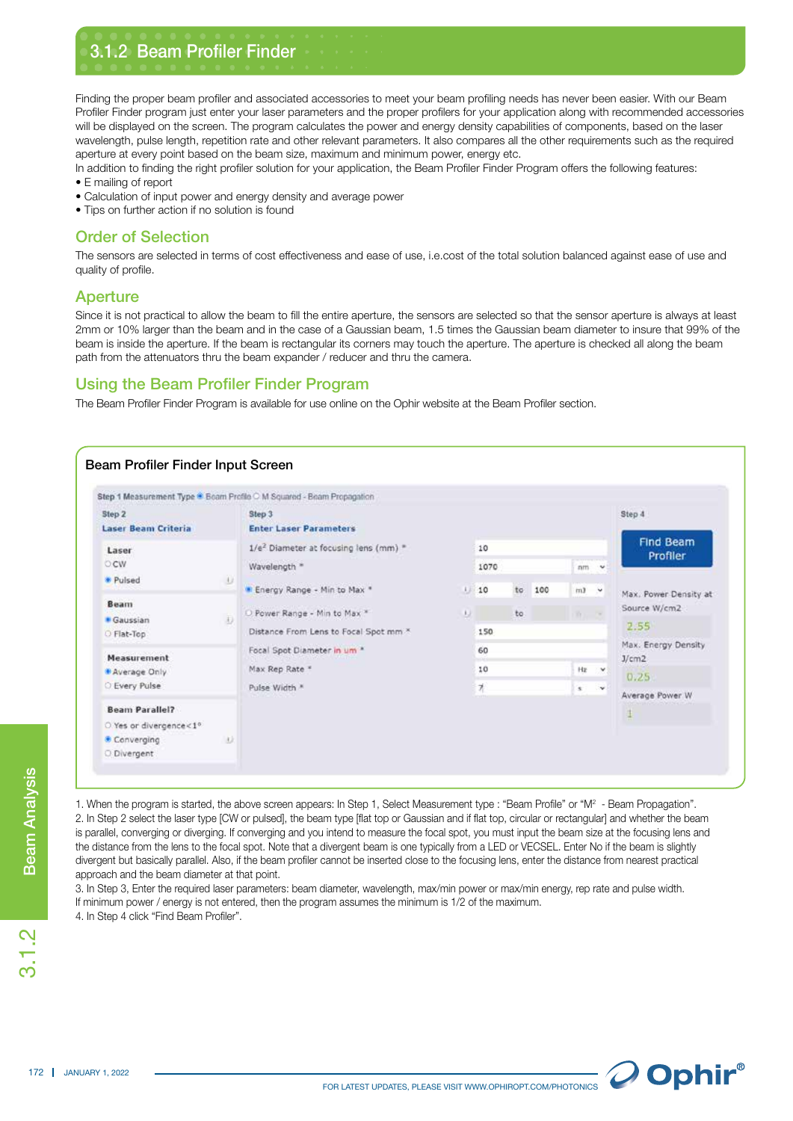Finding the proper beam profiler and associated accessories to meet your beam profiling needs has never been easier. With our Beam Profiler Finder program just enter your laser parameters and the proper profilers for your application along with recommended accessories will be displayed on the screen. The program calculates the power and energy density capabilities of components, based on the laser wavelength, pulse length, repetition rate and other relevant parameters. It also compares all the other requirements such as the required aperture at every point based on the beam size, maximum and minimum power, energy etc.

In addition to finding the right profiler solution for your application, the Beam Profiler Finder Program offers the following features: • E mailing of report

- Calculation of input power and energy density and average power
- Tips on further action if no solution is found

3.1.2 Beam Profiler Finder

## Order of Selection

The sensors are selected in terms of cost effectiveness and ease of use, i.e.cost of the total solution balanced against ease of use and quality of profile.

## Aperture

Since it is not practical to allow the beam to fill the entire aperture, the sensors are selected so that the sensor aperture is always at least 2mm or 10% larger than the beam and in the case of a Gaussian beam, 1.5 times the Gaussian beam diameter to insure that 99% of the beam is inside the aperture. If the beam is rectangular its corners may touch the aperture. The aperture is checked all along the beam path from the attenuators thru the beam expander / reducer and thru the camera.

# Using the Beam Profiler Finder Program

The Beam Profiler Finder Program is available for use online on the Ophir website at the Beam Profiler section.



.<br>೧.1<br>೧

1. When the program is started, the above screen appears: In Step 1, Select Measurement type : "Beam Profile" or "M<sup>2</sup> - Beam Propagation". 2. In Step 2 select the laser type [CW or pulsed], the beam type [flat top or Gaussian and if flat top, circular or rectangular] and whether the beam is parallel, converging or diverging. If converging and you intend to measure the focal spot, you must input the beam size at the focusing lens and the distance from the lens to the focal spot. Note that a divergent beam is one typically from a LED or VECSEL. Enter No if the beam is slightly divergent but basically parallel. Also, if the beam profiler cannot be inserted close to the focusing lens, enter the distance from nearest practical approach and the beam diameter at that point.

3. In Step 3, Enter the required laser parameters: beam diameter, wavelength, max/min power or max/min energy, rep rate and pulse width. If minimum power / energy is not entered, then the program assumes the minimum is 1/2 of the maximum. 4. In Step 4 click "Find Beam Profiler".